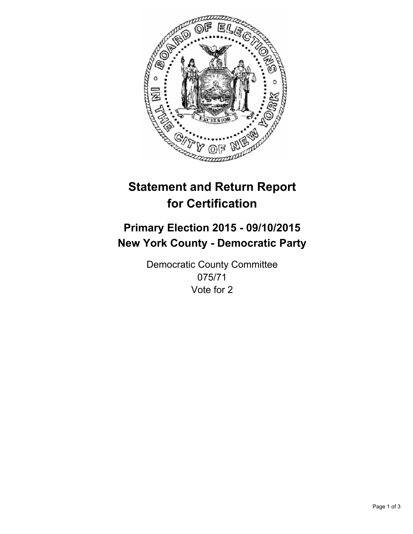

# **Statement and Return Report for Certification**

## **Primary Election 2015 - 09/10/2015 New York County - Democratic Party**

Democratic County Committee 075/71 Vote for 2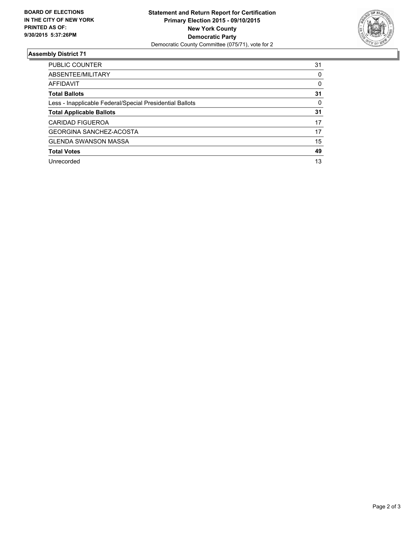

#### **Assembly District 71**

| <b>PUBLIC COUNTER</b>                                    | 31 |
|----------------------------------------------------------|----|
| ABSENTEE/MILITARY                                        | 0  |
| AFFIDAVIT                                                | 0  |
| <b>Total Ballots</b>                                     | 31 |
| Less - Inapplicable Federal/Special Presidential Ballots | 0  |
| <b>Total Applicable Ballots</b>                          | 31 |
| <b>CARIDAD FIGUEROA</b>                                  | 17 |
| <b>GEORGINA SANCHEZ-ACOSTA</b>                           | 17 |
| <b>GLENDA SWANSON MASSA</b>                              | 15 |
| <b>Total Votes</b>                                       | 49 |
| Unrecorded                                               | 13 |